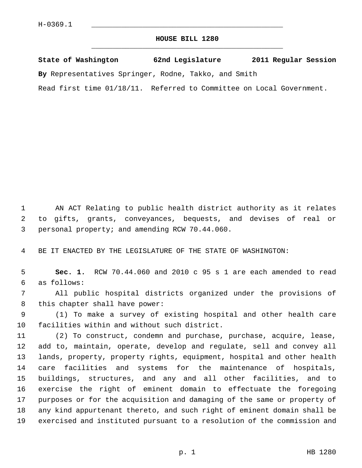## **HOUSE BILL 1280** \_\_\_\_\_\_\_\_\_\_\_\_\_\_\_\_\_\_\_\_\_\_\_\_\_\_\_\_\_\_\_\_\_\_\_\_\_\_\_\_\_\_\_\_\_

|  | State of Washington | 62nd Legislature | 2011 Regular Session |  |
|--|---------------------|------------------|----------------------|--|
|  |                     |                  |                      |  |

**By** Representatives Springer, Rodne, Takko, and Smith

Read first time 01/18/11. Referred to Committee on Local Government.

 1 AN ACT Relating to public health district authority as it relates 2 to gifts, grants, conveyances, bequests, and devises of real or 3 personal property; and amending RCW 70.44.060.

4 BE IT ENACTED BY THE LEGISLATURE OF THE STATE OF WASHINGTON:

 5 **Sec. 1.** RCW 70.44.060 and 2010 c 95 s 1 are each amended to read 6 as follows:

 7 All public hospital districts organized under the provisions of 8 this chapter shall have power:

 9 (1) To make a survey of existing hospital and other health care 10 facilities within and without such district.

11 (2) To construct, condemn and purchase, purchase, acquire, lease, 12 add to, maintain, operate, develop and regulate, sell and convey all 13 lands, property, property rights, equipment, hospital and other health 14 care facilities and systems for the maintenance of hospitals, 15 buildings, structures, and any and all other facilities, and to 16 exercise the right of eminent domain to effectuate the foregoing 17 purposes or for the acquisition and damaging of the same or property of 18 any kind appurtenant thereto, and such right of eminent domain shall be 19 exercised and instituted pursuant to a resolution of the commission and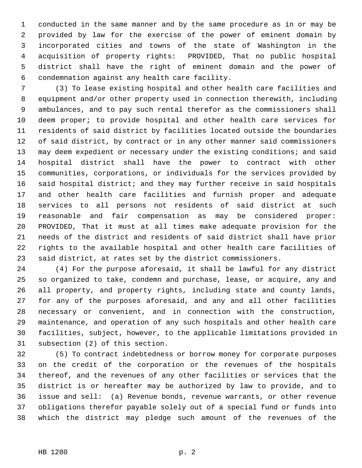1 conducted in the same manner and by the same procedure as in or may be 2 provided by law for the exercise of the power of eminent domain by 3 incorporated cities and towns of the state of Washington in the 4 acquisition of property rights: PROVIDED, That no public hospital 5 district shall have the right of eminent domain and the power of 6 condemnation against any health care facility.

 7 (3) To lease existing hospital and other health care facilities and 8 equipment and/or other property used in connection therewith, including 9 ambulances, and to pay such rental therefor as the commissioners shall 10 deem proper; to provide hospital and other health care services for 11 residents of said district by facilities located outside the boundaries 12 of said district, by contract or in any other manner said commissioners 13 may deem expedient or necessary under the existing conditions; and said 14 hospital district shall have the power to contract with other 15 communities, corporations, or individuals for the services provided by 16 said hospital district; and they may further receive in said hospitals 17 and other health care facilities and furnish proper and adequate 18 services to all persons not residents of said district at such 19 reasonable and fair compensation as may be considered proper: 20 PROVIDED, That it must at all times make adequate provision for the 21 needs of the district and residents of said district shall have prior 22 rights to the available hospital and other health care facilities of 23 said district, at rates set by the district commissioners.

24 (4) For the purpose aforesaid, it shall be lawful for any district 25 so organized to take, condemn and purchase, lease, or acquire, any and 26 all property, and property rights, including state and county lands, 27 for any of the purposes aforesaid, and any and all other facilities 28 necessary or convenient, and in connection with the construction, 29 maintenance, and operation of any such hospitals and other health care 30 facilities, subject, however, to the applicable limitations provided in 31 subsection (2) of this section.

32 (5) To contract indebtedness or borrow money for corporate purposes 33 on the credit of the corporation or the revenues of the hospitals 34 thereof, and the revenues of any other facilities or services that the 35 district is or hereafter may be authorized by law to provide, and to 36 issue and sell: (a) Revenue bonds, revenue warrants, or other revenue 37 obligations therefor payable solely out of a special fund or funds into 38 which the district may pledge such amount of the revenues of the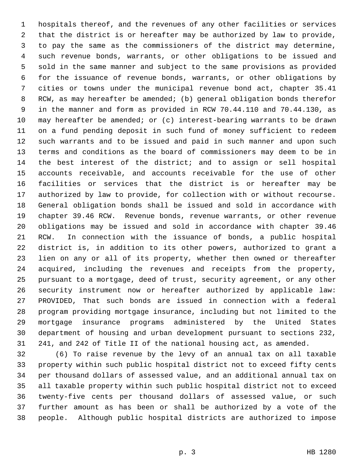1 hospitals thereof, and the revenues of any other facilities or services 2 that the district is or hereafter may be authorized by law to provide, 3 to pay the same as the commissioners of the district may determine, 4 such revenue bonds, warrants, or other obligations to be issued and 5 sold in the same manner and subject to the same provisions as provided 6 for the issuance of revenue bonds, warrants, or other obligations by 7 cities or towns under the municipal revenue bond act, chapter 35.41 8 RCW, as may hereafter be amended; (b) general obligation bonds therefor 9 in the manner and form as provided in RCW 70.44.110 and 70.44.130, as 10 may hereafter be amended; or (c) interest-bearing warrants to be drawn 11 on a fund pending deposit in such fund of money sufficient to redeem 12 such warrants and to be issued and paid in such manner and upon such 13 terms and conditions as the board of commissioners may deem to be in 14 the best interest of the district; and to assign or sell hospital 15 accounts receivable, and accounts receivable for the use of other 16 facilities or services that the district is or hereafter may be 17 authorized by law to provide, for collection with or without recourse. 18 General obligation bonds shall be issued and sold in accordance with 19 chapter 39.46 RCW. Revenue bonds, revenue warrants, or other revenue 20 obligations may be issued and sold in accordance with chapter 39.46 21 RCW. In connection with the issuance of bonds, a public hospital 22 district is, in addition to its other powers, authorized to grant a 23 lien on any or all of its property, whether then owned or thereafter 24 acquired, including the revenues and receipts from the property, 25 pursuant to a mortgage, deed of trust, security agreement, or any other 26 security instrument now or hereafter authorized by applicable law: 27 PROVIDED, That such bonds are issued in connection with a federal 28 program providing mortgage insurance, including but not limited to the 29 mortgage insurance programs administered by the United States 30 department of housing and urban development pursuant to sections 232, 31 241, and 242 of Title II of the national housing act, as amended.

32 (6) To raise revenue by the levy of an annual tax on all taxable 33 property within such public hospital district not to exceed fifty cents 34 per thousand dollars of assessed value, and an additional annual tax on 35 all taxable property within such public hospital district not to exceed 36 twenty-five cents per thousand dollars of assessed value, or such 37 further amount as has been or shall be authorized by a vote of the 38 people. Although public hospital districts are authorized to impose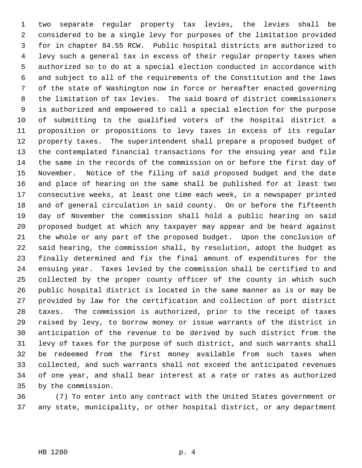1 two separate regular property tax levies, the levies shall be 2 considered to be a single levy for purposes of the limitation provided 3 for in chapter 84.55 RCW. Public hospital districts are authorized to 4 levy such a general tax in excess of their regular property taxes when 5 authorized so to do at a special election conducted in accordance with 6 and subject to all of the requirements of the Constitution and the laws 7 of the state of Washington now in force or hereafter enacted governing 8 the limitation of tax levies. The said board of district commissioners 9 is authorized and empowered to call a special election for the purpose 10 of submitting to the qualified voters of the hospital district a 11 proposition or propositions to levy taxes in excess of its regular 12 property taxes. The superintendent shall prepare a proposed budget of 13 the contemplated financial transactions for the ensuing year and file 14 the same in the records of the commission on or before the first day of 15 November. Notice of the filing of said proposed budget and the date 16 and place of hearing on the same shall be published for at least two 17 consecutive weeks, at least one time each week, in a newspaper printed 18 and of general circulation in said county. On or before the fifteenth 19 day of November the commission shall hold a public hearing on said 20 proposed budget at which any taxpayer may appear and be heard against 21 the whole or any part of the proposed budget. Upon the conclusion of 22 said hearing, the commission shall, by resolution, adopt the budget as 23 finally determined and fix the final amount of expenditures for the 24 ensuing year. Taxes levied by the commission shall be certified to and 25 collected by the proper county officer of the county in which such 26 public hospital district is located in the same manner as is or may be 27 provided by law for the certification and collection of port district 28 taxes. The commission is authorized, prior to the receipt of taxes 29 raised by levy, to borrow money or issue warrants of the district in 30 anticipation of the revenue to be derived by such district from the 31 levy of taxes for the purpose of such district, and such warrants shall 32 be redeemed from the first money available from such taxes when 33 collected, and such warrants shall not exceed the anticipated revenues 34 of one year, and shall bear interest at a rate or rates as authorized 35 by the commission.

36 (7) To enter into any contract with the United States government or 37 any state, municipality, or other hospital district, or any department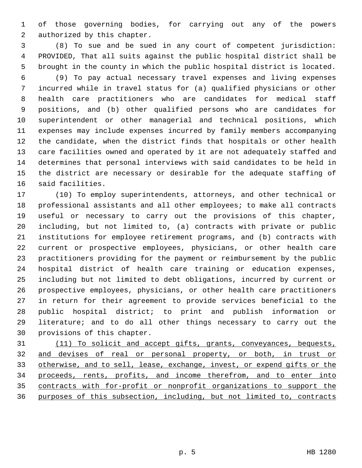1 of those governing bodies, for carrying out any of the powers 2 authorized by this chapter.

 3 (8) To sue and be sued in any court of competent jurisdiction: 4 PROVIDED, That all suits against the public hospital district shall be 5 brought in the county in which the public hospital district is located.

 6 (9) To pay actual necessary travel expenses and living expenses 7 incurred while in travel status for (a) qualified physicians or other 8 health care practitioners who are candidates for medical staff 9 positions, and (b) other qualified persons who are candidates for 10 superintendent or other managerial and technical positions, which 11 expenses may include expenses incurred by family members accompanying 12 the candidate, when the district finds that hospitals or other health 13 care facilities owned and operated by it are not adequately staffed and 14 determines that personal interviews with said candidates to be held in 15 the district are necessary or desirable for the adequate staffing of 16 said facilities.

17 (10) To employ superintendents, attorneys, and other technical or 18 professional assistants and all other employees; to make all contracts 19 useful or necessary to carry out the provisions of this chapter, 20 including, but not limited to, (a) contracts with private or public 21 institutions for employee retirement programs, and (b) contracts with 22 current or prospective employees, physicians, or other health care 23 practitioners providing for the payment or reimbursement by the public 24 hospital district of health care training or education expenses, 25 including but not limited to debt obligations, incurred by current or 26 prospective employees, physicians, or other health care practitioners 27 in return for their agreement to provide services beneficial to the 28 public hospital district; to print and publish information or 29 literature; and to do all other things necessary to carry out the 30 provisions of this chapter.

 (11) To solicit and accept gifts, grants, conveyances, bequests, and devises of real or personal property, or both, in trust or otherwise, and to sell, lease, exchange, invest, or expend gifts or the proceeds, rents, profits, and income therefrom, and to enter into contracts with for-profit or nonprofit organizations to support the purposes of this subsection, including, but not limited to, contracts